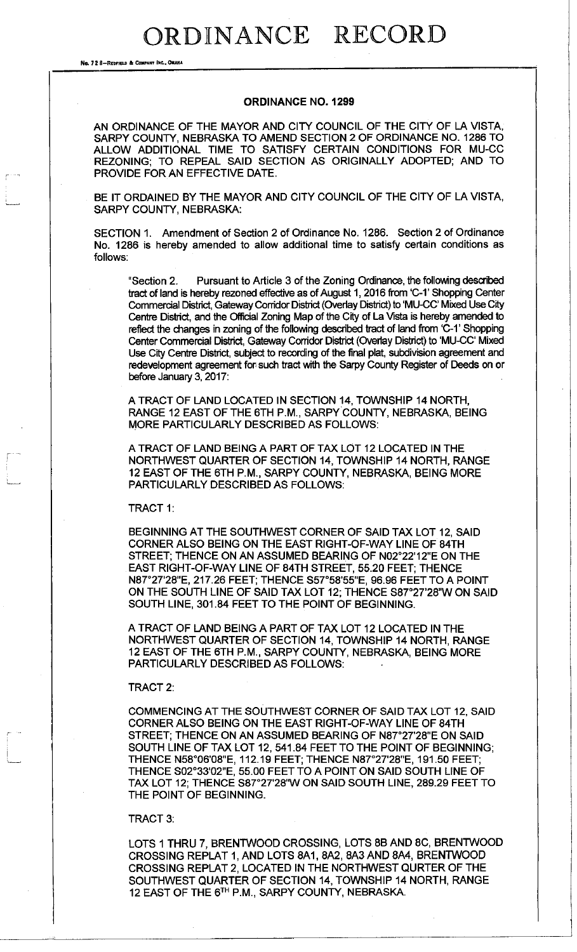## ORDINANCE RECORD

No. 72 8-REDFIELD & COMPANY INC., OMAHA

## **ORDINANCE NO. 1299**

AN ORDINANCE OF THE MAYOR AND CITY COUNCIL OF THE CITY OF LA VISTA, SARPY COUNTY, NEBRASKA TO AMEND SECTION 2 OF ORDINANCE NO. 1286 TO ALLOW ADDITIONAL TIME TO SATISFY CERTAIN CONDITIONS FOR MU-CC REZONING; TO REPEAL SAID SECTION AS ORIGINALLY ADOPTED; AND TO PROVIDE FOR AN EFFECTIVE DATE.

BE IT ORDAINED BY THE MAYOR AND CITY COUNCIL OF THE CITY OF LA VISTA, SARPY COUNTY, NEBRASKA:

SECTION 1. Amendment of Section 2 of Ordinance No. 1286. Section 2 of Ordinance No. 1286 is hereby amended to allow additional time to satisfy certain conditions as follows:

"Section 2. Pursuant to Article 3 of the Zoning Ordinance, the following described tract of land is hereby rezoned effective as of August 1,2016 from 'C-1' Shopping Center Commercial District, Gateway Corridor District (Overlay District) to 'MU-CC' Mixed Use City Centre District, and the Official Zoning Map of the City of La Vista is hereby amended to reflect the changes in zoning of the following described tract of land from 'C-1' Shopping Center Commercial District, Gateway Corridor District (Overlay District) to 'MU-CC' Mixed Use City Centre District, subject to recording of the final plat, subdivision agreement and redevelopment agreement for such tract with the Sarpy County Register of Deeds on or before January 3, 2017:

A TRACT OF LAND LOCATED IN SECTION 14, TOWNSHIP 14 NORTH, RANGE 12 EAST OF THE 6TH P.M., SARPY COUNTY, NEBRASKA, BEING MORE PARTICULARLY DESCRIBED AS FOLLOWS:

A TRACT OF LAND BEING A PART OF TAX LOT 12 LOCATED IN THE NORTHWEST QUARTER OF SECTION 14, TOWNSHIP 14 NORTH, RANGE 12 EAST OF THE 6TH P.M., SARPY COUNTY, NEBRASKA, BEING MORE PARTICULARLY DESCRIBED AS FOLLOWS:

TRACT 1:

BEGINNING AT THE SOUTHWEST CORNER OF SAID TAX LOT 12, SAID CORNER ALSO BEING ON THE EAST RIGHT-OF-WAY LINE OF 84TH STREET; THENCE ON AN ASSUMED BEARING OF N02°22'12"E ON THE EAST RIGHT-OF-WAY LINE OF 84TH STREET, 55.20 FEET; THENCE N87 <sup>e</sup> 27'28"E, 217.26 FEET; THENCE S57°58'55"E, 96.96 FEET TO A POINT ON THE SOUTH LINE OF SAID TAX LOT 12; THENCE S87°27'28"W ON SAID SOUTH LINE, 301.84 FEET TO THE POINT OF BEGINNING.

A TRACT OF LAND BEING A PART OF TAX LOT 12 LOCATED IN THE NORTHWEST QUARTER OF SECTION 14, TOWNSHIP 14 NORTH, RANGE 12 EAST OF THE 6TH P.M., SARPY COUNTY, NEBRASKA, BEING MORE PARTICULARLY DESCRIBED AS FOLLOWS:

TRACT 2:

COMMENCING AT THE SOUTHWEST CORNER OF SAID TAX LOT 12, SAID CORNER ALSO BEING ON THE EAST RIGHT-OF-WAY LINE OF 84TH STREET; THENCE ON AN ASSUMED BEARING OF N87°27'28"E ON SAID SOUTH LINE OF TAX LOT 12, 541.84 FEET TO THE POINT OF BEGINNING; THENCE N58°06'08"E, 112.19 FEET; THENCE N87°27'28"E, 191.50 FEET; THENCE S02°33'02"E, 55.00 FEET TO A POINT ON SAID SOUTH LINE OF TAX LOT 12; THENCE S87°27'28"W ON SAID SOUTH LINE, 289.29 FEET TO THE POINT OF BEGINNING.

## TRACT 3:

LOTS 1 THRU 7, BRENTWOOD CROSSING, LOTS 8B AND 8C, BRENTWOOD CROSSING REPLAT 1, AND LOTS 8A1, 8A2, 8A3 AND 8A4, BRENTWOOD CROSSING REPLAT 2, LOCATED IN THE NORTHWEST QURTER OF THE SOUTHWEST QUARTER OF SECTION 14, TOWNSHIP 14 NORTH, RANGE 12 EAST OF THE 6™ P.M., SARPY COUNTY, NEBRASKA.